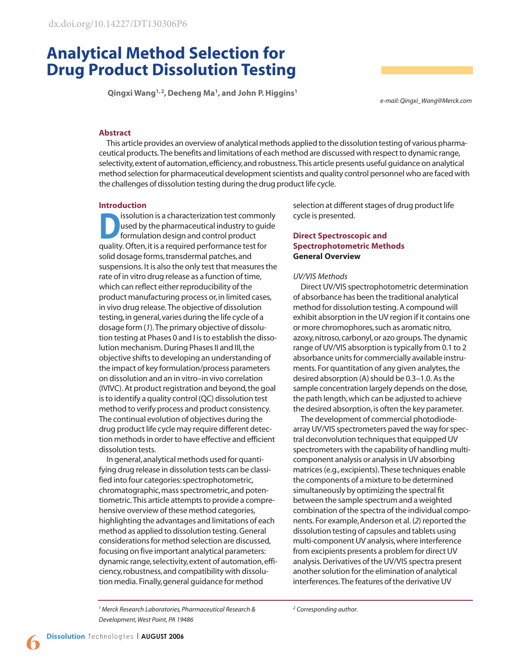# **Analytical Method Selection for Drug Product Dissolution Testing**

**Qingxi Wang1, 2, Decheng Ma1, and John P. Higgins1**

*e-mail: Qingxi\_Wang@Merck.com*

# **Abstract**

This article provides an overview of analytical methods applied to the dissolution testing of various pharmaceutical products. The benefits and limitations of each method are discussed with respect to dynamic range, selectivity,extent of automation,efficiency,and robustness. This article presents useful guidance on analytical method selection for pharmaceutical development scientists and quality control personnel who are faced with the challenges of dissolution testing during the drug product life cycle.

#### **Introduction**

**DEPERBONAISE SERVIS AND SERVIS SOLUTION**<br>
starting the pharmaceutical industry to guide<br>
formulation design and control product used by the pharmaceutical industry to guide quality. Often,it is a required performance test for solid dosage forms, transdermal patches, and suspensions. It is also the only test that measures the rate of in vitro drug release as a function of time, which can reflect either reproducibility of the product manufacturing process or,in limited cases, in vivo drug release. The objective of dissolution testing,in general,varies during the life cycle of a dosage form (*1*). The primary objective of dissolution testing at Phases 0 and I is to establish the dissolution mechanism. During Phases II and III, the objective shifts to developing an understanding of the impact of key formulation/process parameters on dissolution and an in vitro–in vivo correlation (IVIVC). At product registration and beyond,the goal is to identify a quality control (QC) dissolution test method to verify process and product consistency. The continual evolution of objectives during the drug product life cycle may require different detection methods in order to have effective and efficient dissolution tests.

In general,analytical methods used for quantifying drug release in dissolution tests can be classified into four categories:spectrophotometric, chromatographic,mass spectrometric,and potentiometric. This article attempts to provide a comprehensive overview of these method categories, highlighting the advantages and limitations of each method as applied to dissolution testing. General considerations for method selection are discussed, focusing on five important analytical parameters: dynamic range,selectivity,extent of automation,efficiency,robustness,and compatibility with dissolution media. Finally,general guidance for method

selection at different stages of drug product life cycle is presented.

# **Direct Spectroscopic and Spectrophotometric Methods General Overview**

#### *UV/VIS Methods*

Direct UV/VIS spectrophotometric determination of absorbance has been the traditional analytical method for dissolution testing. A compound will exhibit absorption in the UV region if it contains one or more chromophores, such as aromatic nitro, azoxy,nitroso,carbonyl,or azo groups. The dynamic range of UV/VIS absorption is typically from 0.1 to 2 absorbance units for commercially available instruments. For quantitation of any given analytes, the desired absorption (A) should be 0.3–1.0. As the sample concentration largely depends on the dose, the path length,which can be adjusted to achieve the desired absorption, is often the key parameter.

The development of commercial photodiodearray UV/VIS spectrometers paved the way for spectral deconvolution techniques that equipped UV spectrometers with the capability of handling multicomponent analysis or analysis in UV absorbing matrices (e.g.,excipients). These techniques enable the components of a mixture to be determined simultaneously by optimizing the spectral fit between the sample spectrum and a weighted combination of the spectra of the individual components. For example,Anderson et al. (*2*) reported the dissolution testing of capsules and tablets using multi-component UV analysis,where interference from excipients presents a problem for direct UV analysis. Derivatives of the UV/VIS spectra present another solution for the elimination of analytical interferences. The features of the derivative UV

*1 Merck Research Laboratories, Pharmaceutical Research & Development, West Point, PA 19486*

*<sup>2</sup> Corresponding author.*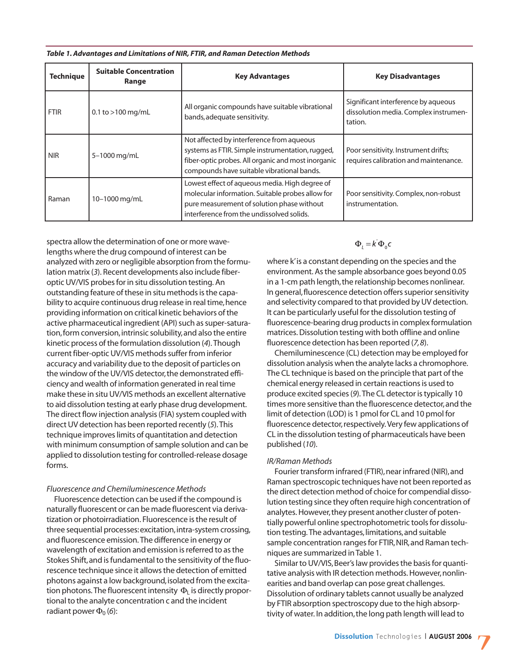| <b>Technique</b> | <b>Suitable Concentration</b><br>Range | <b>Key Advantages</b>                                                                                                                                                                             | <b>Key Disadvantages</b>                                                                |
|------------------|----------------------------------------|---------------------------------------------------------------------------------------------------------------------------------------------------------------------------------------------------|-----------------------------------------------------------------------------------------|
| <b>FTIR</b>      | 0.1 to $>100$ mg/mL                    | All organic compounds have suitable vibrational<br>bands, adequate sensitivity.                                                                                                                   | Significant interference by aqueous<br>dissolution media. Complex instrumen-<br>tation. |
| <b>NIR</b>       | 5-1000 mg/mL                           | Not affected by interference from aqueous<br>systems as FTIR. Simple instrumentation, rugged,<br>fiber-optic probes. All organic and most inorganic<br>compounds have suitable vibrational bands. | Poor sensitivity. Instrument drifts;<br>requires calibration and maintenance.           |
| Raman            | 10-1000 mg/mL                          | Lowest effect of aqueous media. High degree of<br>molecular information. Suitable probes allow for<br>pure measurement of solution phase without<br>interference from the undissolved solids.     | Poor sensitivity. Complex, non-robust<br>instrumentation.                               |

*Table 1. Advantages and Limitations of NIR, FTIR, and Raman Detection Methods* 

spectra allow the determination of one or more wavelengths where the drug compound of interest can be analyzed with zero or negligible absorption from the formulation matrix (*3*). Recent developments also include fiberoptic UV/VIS probes for in situ dissolution testing. An outstanding feature of these in situ methods is the capability to acquire continuous drug release in real time, hence providing information on critical kinetic behaviors of the active pharmaceutical ingredient (API) such as super-saturation, form conversion, intrinsic solubility, and also the entire kinetic process of the formulation dissolution (*4*). Though current fiber-optic UV/VIS methods suffer from inferior accuracy and variability due to the deposit of particles on the window of the UV/VIS detector, the demonstrated efficiency and wealth of information generated in real time make these in situ UV/VIS methods an excellent alternative to aid dissolution testing at early phase drug development. The direct flow injection analysis (FIA) system coupled with direct UV detection has been reported recently (*5*). This technique improves limits of quantitation and detection with minimum consumption of sample solution and can be applied to dissolution testing for controlled-release dosage forms.

#### *Fluorescence and Chemiluminescence Methods*

Fluorescence detection can be used if the compound is naturally fluorescent or can be made fluorescent via derivatization or photoirradiation. Fluorescence is the result of three sequential processes: excitation, intra-system crossing, and fluorescence emission. The difference in energy or wavelength of excitation and emission is referred to as the Stokes Shift,and is fundamental to the sensitivity of the fluorescence technique since it allows the detection of emitted photons against a low background, isolated from the excitation photons. The fluorescent intensity  $\Phi_L$  is directly proportional to the analyte concentration c and the incident radiant power  $\Phi_0$  (6):

 $\Phi_i = k \Phi_0 c$ 

where k'is a constant depending on the species and the environment. As the sample absorbance goes beyond 0.05 in a 1-cm path length, the relationship becomes nonlinear. In general,fluorescence detection offers superior sensitivity and selectivity compared to that provided by UV detection. It can be particularly useful for the dissolution testing of fluorescence-bearing drug products in complex formulation matrices. Dissolution testing with both offline and online fluorescence detection has been reported (*7,8*).

Chemiluminescence (CL) detection may be employed for dissolution analysis when the analyte lacks a chromophore. The CL technique is based on the principle that part of the chemical energy released in certain reactions is used to produce excited species (*9*). The CL detector is typically 10 times more sensitive than the fluorescence detector,and the limit of detection (LOD) is 1 pmol for CL and 10 pmol for fluorescence detector, respectively. Very few applications of CL in the dissolution testing of pharmaceuticals have been published (*10*).

#### *IR/Raman Methods*

Fourier transform infrared (FTIR), near infrared (NIR), and Raman spectroscopic techniques have not been reported as the direct detection method of choice for compendial dissolution testing since they often require high concentration of analytes. However, they present another cluster of potentially powerful online spectrophotometric tools for dissolution testing. The advantages,limitations,and suitable sample concentration ranges for FTIR, NIR, and Raman techniques are summarized in Table 1.

Similar to UV/VIS, Beer's law provides the basis for quantitative analysis with IR detection methods. However, nonlinearities and band overlap can pose great challenges. Dissolution of ordinary tablets cannot usually be analyzed by FTIR absorption spectroscopy due to the high absorptivity of water. In addition,the long path length will lead to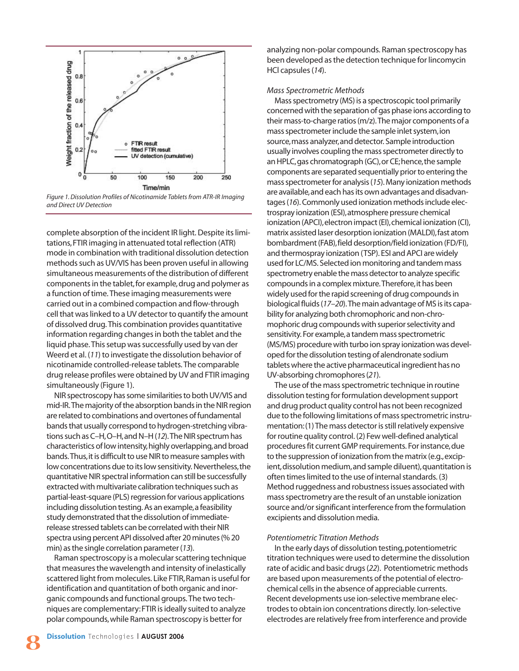

*Figure 1. Dissolution Profiles of Nicotinamide Tablets from ATR-IR Imaging and Direct UV Detection*

complete absorption of the incident IR light. Despite its limitations,FTIR imaging in attenuated total reflection (ATR) mode in combination with traditional dissolution detection methods such as UV/VIS has been proven useful in allowing simultaneous measurements of the distribution of different components in the tablet, for example, drug and polymer as a function of time. These imaging measurements were carried out in a combined compaction and flow-through cell that was linked to a UV detector to quantify the amount of dissolved drug. This combination provides quantitative information regarding changes in both the tablet and the liquid phase. This setup was successfully used by van der Weerd et al. (*11*) to investigate the dissolution behavior of nicotinamide controlled-release tablets. The comparable drug release profiles were obtained by UV and FTIR imaging simultaneously (Figure 1).

NIR spectroscopy has some similarities to both UV/VIS and mid-IR.The majority of the absorption bands in the NIR region are related to combinations and overtones of fundamental bands that usually correspond to hydrogen-stretching vibrations such as C–H,O–H,and N–H (*12*).The NIR spectrum has characteristics of low intensity,highly overlapping,and broad bands.Thus,it is difficult to use NIR to measure samples with low concentrations due to its low sensitivity. Nevertheless, the quantitative NIR spectral information can still be successfully extracted with multivariate calibration techniques such as partial-least-square (PLS) regression for various applications including dissolution testing. As an example, a feasibility study demonstrated that the dissolution of immediaterelease stressed tablets can be correlated with their NIR spectra using percent API dissolved after 20 minutes (% 20 min) as the single correlation parameter (*13*).

Raman spectroscopy is a molecular scattering technique that measures the wavelength and intensity of inelastically scattered light from molecules. Like FTIR, Raman is useful for identification and quantitation of both organic and inorganic compounds and functional groups. The two techniques are complementary:FTIR is ideally suited to analyze polar compounds,while Raman spectroscopy is better for

analyzing non-polar compounds. Raman spectroscopy has been developed as the detection technique for lincomycin HCl capsules (*14*).

### *Mass Spectrometric Methods*

Mass spectrometry (MS) is a spectroscopic tool primarily concerned with the separation of gas phase ions according to their mass-to-charge ratios (m/z).The major components of a mass spectrometer include the sample inlet system,ion source,mass analyzer,and detector. Sample introduction usually involves coupling the mass spectrometer directly to an HPLC, gas chromatograph (GC), or CE; hence, the sample components are separated sequentially prior to entering the mass spectrometer for analysis (*15*). Many ionization methods are available,and each has its own advantages and disadvantages (*16*). Commonly used ionization methods include electrospray ionization (ESI),atmosphere pressure chemical ionization (APCI), electron impact (EI), chemical ionization (CI), matrix assisted laser desorption ionization (MALDI),fast atom bombardment (FAB),field desorption/field ionization (FD/FI), and thermospray ionization (TSP). ESI and APCI are widely used for LC/MS. Selected ion monitoring and tandem mass spectrometry enable the mass detector to analyze specific compounds in a complex mixture.Therefore,it has been widely used for the rapid screening of drug compounds in biological fluids (*17–20*).The main advantage of MS is its capability for analyzing both chromophoric and non-chromophoric drug compounds with superior selectivity and sensitivity. For example,a tandem mass spectrometric (MS/MS) procedure with turbo ion spray ionization was developed for the dissolution testing of alendronate sodium tablets where the active pharmaceutical ingredient has no UV-absorbing chromophores (*21*).

The use of the mass spectrometric technique in routine dissolution testing for formulation development support and drug product quality control has not been recognized due to the following limitations of mass spectrometric instrumentation:(1) The mass detector is still relatively expensive for routine quality control. (2) Few well-defined analytical procedures fit current GMP requirements. For instance,due to the suppression of ionization from the matrix (e.g., excipient,dissolution medium,and sample diluent),quantitation is often times limited to the use of internal standards. (3) Method ruggedness and robustness issues associated with mass spectrometry are the result of an unstable ionization source and/or significant interference from the formulation excipients and dissolution media.

# *Potentiometric Titration Methods*

In the early days of dissolution testing, potentiometric titration techniques were used to determine the dissolution rate of acidic and basic drugs (*22*). Potentiometric methods are based upon measurements of the potential of electrochemical cells in the absence of appreciable currents. Recent developments use ion-selective membrane electrodes to obtain ion concentrations directly. Ion-selective electrodes are relatively free from interference and provide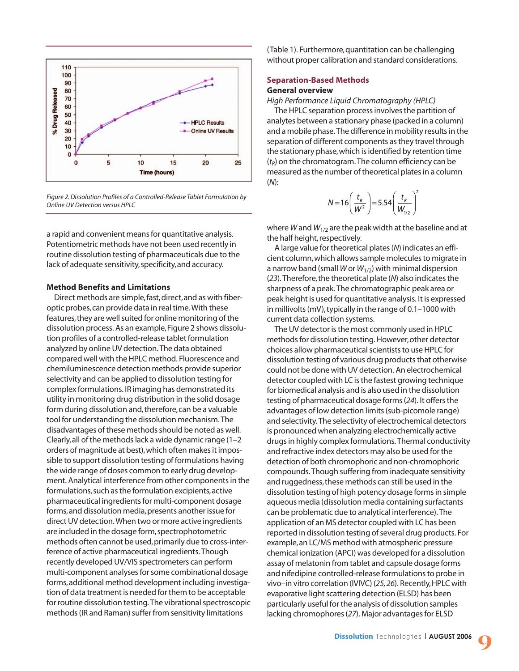

*Figure 2. Dissolution Profiles of a Controlled-Release Tablet Formulation by Online UV Detection versus HPLC*

a rapid and convenient means for quantitative analysis. Potentiometric methods have not been used recently in routine dissolution testing of pharmaceuticals due to the lack of adequate sensitivity, specificity, and accuracy.

#### **Method Benefits and Limitations**

Direct methods are simple,fast,direct,and as with fiberoptic probes,can provide data in real time. With these features,they are well suited for online monitoring of the dissolution process. As an example,Figure 2 shows dissolution profiles of a controlled-release tablet formulation analyzed by online UV detection. The data obtained compared well with the HPLC method. Fluorescence and chemiluminescence detection methods provide superior selectivity and can be applied to dissolution testing for complex formulations. IR imaging has demonstrated its utility in monitoring drug distribution in the solid dosage form during dissolution and, therefore, can be a valuable tool for understanding the dissolution mechanism. The disadvantages of these methods should be noted as well. Clearly,all of the methods lack a wide dynamic range (1–2 orders of magnitude at best),which often makes it impossible to support dissolution testing of formulations having the wide range of doses common to early drug development. Analytical interference from other components in the formulations,such as the formulation excipients,active pharmaceutical ingredients for multi-component dosage forms, and dissolution media, presents another issue for direct UV detection. When two or more active ingredients are included in the dosage form, spectrophotometric methods often cannot be used,primarily due to cross-interference of active pharmaceutical ingredients. Though recently developed UV/VIS spectrometers can perform multi-component analyses for some combinational dosage forms,additional method development including investigation of data treatment is needed for them to be acceptable for routine dissolution testing. The vibrational spectroscopic methods (IR and Raman) suffer from sensitivity limitations

(Table 1). Furthermore,quantitation can be challenging without proper calibration and standard considerations.

#### **Separation-Based Methods General overview**

*High Performance Liquid Chromatography (HPLC)* 

The HPLC separation process involves the partition of analytes between a stationary phase (packed in a column) and a mobile phase. The difference in mobility results in the separation of different components as they travel through the stationary phase,which is identified by retention time  $(t_R)$  on the chromatogram. The column efficiency can be measured as the number of theoretical plates in a column (*N*):

$$
N=16\left(\frac{t_{R}}{W^{2}}\right)=5.54\left(\frac{t_{R}}{W_{1/2}}\right)^{2}
$$

where *W* and *W*1/2 are the peak width at the baseline and at the half height, respectively.

A large value for theoretical plates (*N*) indicates an efficient column,which allows sample molecules to migrate in a narrow band (small *W* or *W*1/2) with minimal dispersion (*23*). Therefore,the theoretical plate (*N*) also indicates the sharpness of a peak. The chromatographic peak area or peak height is used for quantitative analysis. It is expressed in millivolts (mV), typically in the range of 0.1-1000 with current data collection systems.

The UV detector is the most commonly used in HPLC methods for dissolution testing. However,other detector choices allow pharmaceutical scientists to use HPLC for dissolution testing of various drug products that otherwise could not be done with UV detection. An electrochemical detector coupled with LC is the fastest growing technique for biomedical analysis and is also used in the dissolution testing of pharmaceutical dosage forms (*24*). It offers the advantages of low detection limits (sub-picomole range) and selectivity. The selectivity of electrochemical detectors is pronounced when analyzing electrochemically active drugs in highly complex formulations. Thermal conductivity and refractive index detectors may also be used for the detection of both chromophoric and non-chromophoric compounds. Though suffering from inadequate sensitivity and ruggedness,these methods can still be used in the dissolution testing of high potency dosage forms in simple aqueous media (dissolution media containing surfactants can be problematic due to analytical interference). The application of an MS detector coupled with LC has been reported in dissolution testing of several drug products. For example,an LC/MS method with atmospheric pressure chemical ionization (APCI) was developed for a dissolution assay of melatonin from tablet and capsule dosage forms and nifedipine controlled-release formulations to probe in vivo–in vitro correlation (IVIVC) (*25,26*). Recently,HPLC with evaporative light scattering detection (ELSD) has been particularly useful for the analysis of dissolution samples lacking chromophores (*27*). Major advantages for ELSD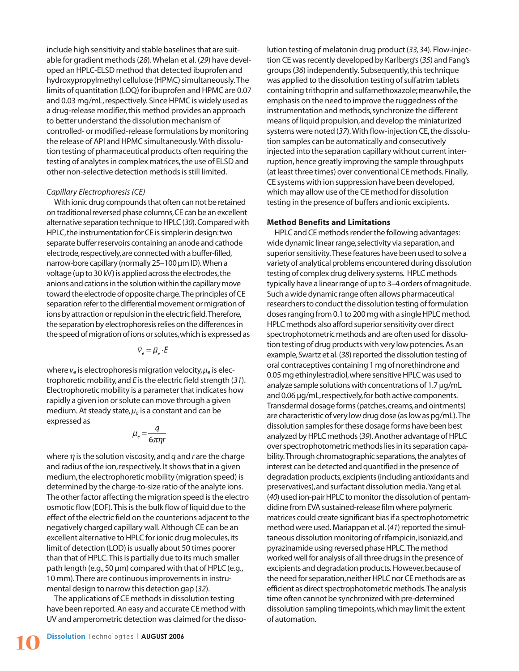include high sensitivity and stable baselines that are suitable for gradient methods (*28*). Whelan et al. (*29*) have developed an HPLC-ELSD method that detected ibuprofen and hydroxypropylmethyl cellulose (HPMC) simultaneously. The limits of quantitation (LOQ) for ibuprofen and HPMC are 0.07 and 0.03 mg/mL, respectively. Since HPMC is widely used as a drug-release modifier,this method provides an approach to better understand the dissolution mechanism of controlled- or modified-release formulations by monitoring the release of API and HPMC simultaneously. With dissolution testing of pharmaceutical products often requiring the testing of analytes in complex matrices, the use of ELSD and other non-selective detection methods is still limited.

# *Capillary Electrophoresis (CE)*

With ionic drug compounds that often can not be retained on traditional reversed phase columns,CE can be an excellent alternative separation technique to HPLC (*30*). Compared with HPLC,the instrumentation for CE is simpler in design:two separate buffer reservoirs containing an anode and cathode electrode, respectively, are connected with a buffer-filled, narrow-bore capillary (normally 25–100 µm ID).When a voltage (up to 30 kV) is applied across the electrodes, the anions and cations in the solution within the capillary move toward the electrode of opposite charge.The principles of CE separation refer to the differential movement or migration of ions by attraction or repulsion in the electric field.Therefore, the separation by electrophoresis relies on the differences in the speed of migration of ions or solutes,which is expressed as

$$
\vec{v}_e = \vec{\mu}_e \cdot \vec{E}
$$

where  $v_e$  is electrophoresis migration velocity,  $\mu_e$  is electrophoretic mobility,and *E* is the electric field strength (*31*). Electrophoretic mobility is a parameter that indicates how rapidly a given ion or solute can move through a given medium. At steady state,  $\mu_e$  is a constant and can be expressed as

$$
\mu_e = \frac{q}{6\pi\eta r}
$$

where *η* is the solution viscosity,and *q* and *r* are the charge and radius of the ion,respectively. It shows that in a given medium,the electrophoretic mobility (migration speed) is determined by the charge-to-size ratio of the analyte ions. The other factor affecting the migration speed is the electro osmotic flow (EOF). This is the bulk flow of liquid due to the effect of the electric field on the counterions adjacent to the negatively charged capillary wall. Although CE can be an excellent alternative to HPLC for ionic drug molecules,its limit of detection (LOD) is usually about 50 times poorer than that of HPLC. This is partially due to its much smaller path length (e.g.,50 µm) compared with that of HPLC (e.g., 10 mm). There are continuous improvements in instrumental design to narrow this detection gap (*32*).

The applications of CE methods in dissolution testing have been reported. An easy and accurate CE method with UV and amperometric detection was claimed for the dissolution testing of melatonin drug product (*33,34*). Flow-injection CE was recently developed by Karlberg's (*35*) and Fang's groups (*36*) independently. Subsequently,this technique was applied to the dissolution testing of sulfatrim tablets containing trithoprin and sulfamethoxazole; meanwhile, the emphasis on the need to improve the ruggedness of the instrumentation and methods, synchronize the different means of liquid propulsion,and develop the miniaturized systems were noted (37). With flow-injection CE, the dissolution samples can be automatically and consecutively injected into the separation capillary without current interruption, hence greatly improving the sample throughputs (at least three times) over conventional CE methods. Finally, CE systems with ion suppression have been developed, which may allow use of the CE method for dissolution testing in the presence of buffers and ionic excipients.

# **Method Benefits and Limitations**

HPLC and CE methods render the following advantages: wide dynamic linear range,selectivity via separation,and superior sensitivity.These features have been used to solve a variety of analytical problems encountered during dissolution testing of complex drug delivery systems. HPLC methods typically have a linear range of up to 3–4 orders of magnitude. Such a wide dynamic range often allows pharmaceutical researchers to conduct the dissolution testing of formulation doses ranging from 0.1 to 200 mg with a single HPLC method. HPLC methods also afford superior sensitivity over direct spectrophotometric methods and are often used for dissolution testing of drug products with very low potencies. As an example,Swartz et al. (*38*) reported the dissolution testing of oral contraceptives containing 1 mg of norethindrone and 0.05 mg ethinylestradiol,where sensitive HPLC was used to analyze sample solutions with concentrations of 1.7 µg/mL and 0.06 µg/mL, respectively, for both active components. Transdermal dosage forms (patches,creams,and ointments) are characteristic of very low drug dose (as low as pg/mL).The dissolution samples for these dosage forms have been best analyzed by HPLC methods (*39*). Another advantage of HPLC over spectrophotometric methods lies in its separation capability.Through chromatographic separations,the analytes of interest can be detected and quantified in the presence of degradation products,excipients (including antioxidants and preservatives),and surfactant dissolution media.Yang et al. (*40*) used ion-pair HPLC to monitor the dissolution of pentamdidine from EVA sustained-release film where polymeric matrices could create significant bias if a spectrophotometric method were used. Mariappan et al. (*41*) reported the simultaneous dissolution monitoring of rifampicin, isoniazid, and pyrazinamide using reversed phase HPLC.The method worked well for analysis of all three drugs in the presence of excipients and degradation products. However, because of the need for separation, neither HPLC nor CE methods are as efficient as direct spectrophotometric methods.The analysis time often cannot be synchronized with pre-determined dissolution sampling timepoints,which may limit the extent of automation.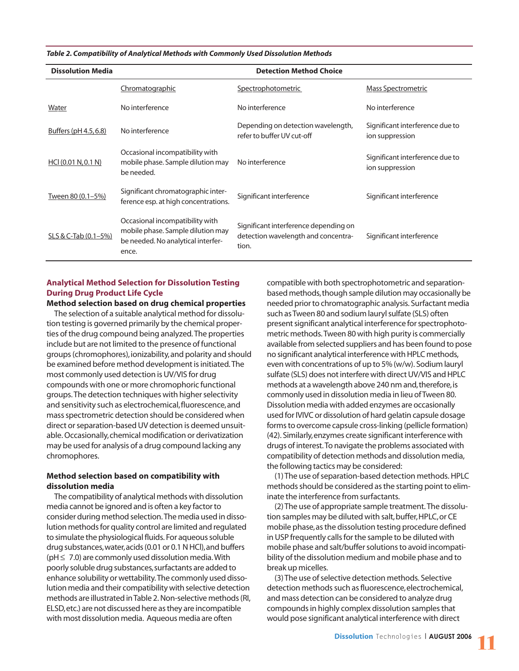*Table 2. Compatibility of Analytical Methods with Commonly Used Dissolution Methods*

| <b>Dissolution Media</b> | <b>Detection Method Choice</b>                                                                                      |                                                                                       |                                                    |  |  |  |
|--------------------------|---------------------------------------------------------------------------------------------------------------------|---------------------------------------------------------------------------------------|----------------------------------------------------|--|--|--|
|                          | Chromatographic                                                                                                     | Spectrophotometric                                                                    | Mass Spectrometric                                 |  |  |  |
| Water                    | No interference                                                                                                     | No interference                                                                       | No interference                                    |  |  |  |
| Buffers (pH 4.5, 6.8)    | No interference                                                                                                     | Depending on detection wavelength,<br>refer to buffer UV cut-off                      | Significant interference due to<br>ion suppression |  |  |  |
| HCI (0.01 N, 0.1 N)      | Occasional incompatibility with<br>mobile phase. Sample dilution may<br>be needed.                                  | No interference                                                                       | Significant interference due to<br>ion suppression |  |  |  |
| Tween 80 (0.1-5%)        | Significant chromatographic inter-<br>ference esp. at high concentrations.                                          | Significant interference                                                              | Significant interference                           |  |  |  |
| SLS & C-Tab (0.1-5%)     | Occasional incompatibility with<br>mobile phase. Sample dilution may<br>be needed. No analytical interfer-<br>ence. | Significant interference depending on<br>detection wavelength and concentra-<br>tion. | Significant interference                           |  |  |  |

# **Analytical Method Selection for Dissolution Testing During Drug Product Life Cycle**

**Method selection based on drug chemical properties** The selection of a suitable analytical method for dissolution testing is governed primarily by the chemical properties of the drug compound being analyzed. The properties include but are not limited to the presence of functional groups (chromophores),ionizability,and polarity and should be examined before method development is initiated. The most commonly used detection is UV/VIS for drug compounds with one or more chromophoric functional groups. The detection techniques with higher selectivity and sensitivity such as electrochemical, fluorescence, and mass spectrometric detection should be considered when direct or separation-based UV detection is deemed unsuitable. Occasionally,chemical modification or derivatization may be used for analysis of a drug compound lacking any chromophores.

# **Method selection based on compatibility with dissolution media**

The compatibility of analytical methods with dissolution media cannot be ignored and is often a key factor to consider during method selection. The media used in dissolution methods for quality control are limited and regulated to simulate the physiological fluids. For aqueous soluble drug substances, water, acids (0.01 or 0.1 N HCI), and buffers ( $pH \leq 7.0$ ) are commonly used dissolution media. With poorly soluble drug substances,surfactants are added to enhance solubility or wettability. The commonly used dissolution media and their compatibility with selective detection methods are illustrated in Table 2. Non-selective methods (RI, ELSD,etc.) are not discussed here as they are incompatible with most dissolution media. Aqueous media are often

compatible with both spectrophotometric and separationbased methods,though sample dilution may occasionally be needed prior to chromatographic analysis. Surfactant media such as Tween 80 and sodium lauryl sulfate (SLS) often present significant analytical interference for spectrophotometric methods. Tween 80 with high purity is commercially available from selected suppliers and has been found to pose no significant analytical interference with HPLC methods, even with concentrations of up to 5% (w/w). Sodium lauryl sulfate (SLS) does not interfere with direct UV/VIS and HPLC methods at a wavelength above 240 nm and, therefore, is commonly used in dissolution media in lieu of Tween 80. Dissolution media with added enzymes are occasionally used for IVIVC or dissolution of hard gelatin capsule dosage forms to overcome capsule cross-linking (pellicle formation) (42). Similarly,enzymes create significant interference with drugs of interest. To navigate the problems associated with compatibility of detection methods and dissolution media, the following tactics may be considered:

(1) The use of separation-based detection methods. HPLC methods should be considered as the starting point to eliminate the interference from surfactants.

(2) The use of appropriate sample treatment. The dissolution samples may be diluted with salt, buffer, HPLC, or CE mobile phase, as the dissolution testing procedure defined in USP frequently calls for the sample to be diluted with mobile phase and salt/buffer solutions to avoid incompatibility of the dissolution medium and mobile phase and to break up micelles.

(3) The use of selective detection methods. Selective detection methods such as fluorescence, electrochemical, and mass detection can be considered to analyze drug compounds in highly complex dissolution samples that would pose significant analytical interference with direct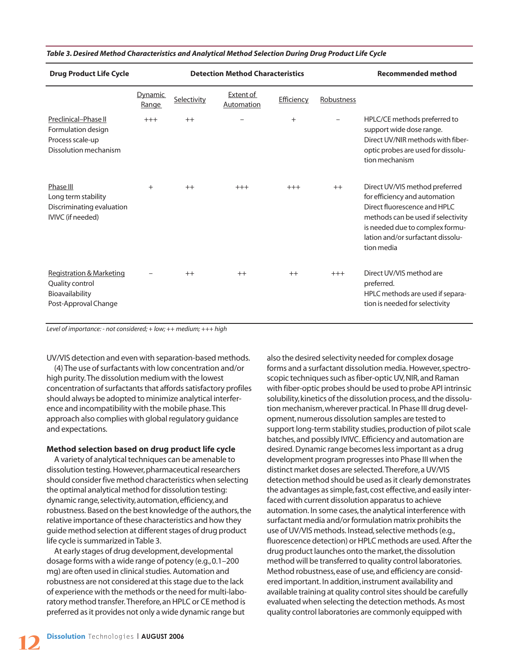| <b>Drug Product Life Cycle</b>                                                          | <b>Detection Method Characteristics</b> |             |                                |            |            | <b>Recommended method</b>                                                                                                                                                                                                   |
|-----------------------------------------------------------------------------------------|-----------------------------------------|-------------|--------------------------------|------------|------------|-----------------------------------------------------------------------------------------------------------------------------------------------------------------------------------------------------------------------------|
|                                                                                         | <b>Dynamic</b><br>Range                 | Selectivity | <b>Extent of</b><br>Automation | Efficiency | Robustness |                                                                                                                                                                                                                             |
| Preclinical-Phase II<br>Formulation design<br>Process scale-up<br>Dissolution mechanism | $+++$                                   | $++$        |                                | $+$        |            | HPLC/CE methods preferred to<br>support wide dose range.<br>Direct UV/NIR methods with fiber-<br>optic probes are used for dissolu-<br>tion mechanism                                                                       |
| Phase III<br>Long term stability<br>Discriminating evaluation<br>IVIVC (if needed)      | $^{+}$                                  | $++$        | $+++$                          | $+++$      | $++$       | Direct UV/VIS method preferred<br>for efficiency and automation<br>Direct fluorescence and HPLC<br>methods can be used if selectivity<br>is needed due to complex formu-<br>lation and/or surfactant dissolu-<br>tion media |
| Registration & Marketing<br>Quality control<br>Bioavailability<br>Post-Approval Change  |                                         | $++$        | $++$                           | $++$       | $+++$      | Direct UV/VIS method are<br>preferred.<br>HPLC methods are used if separa-<br>tion is needed for selectivity                                                                                                                |

#### *Table 3. Desired Method Characteristics and Analytical Method Selection During Drug Product Life Cycle*

*Level of importance: - not considered; + low; ++ medium; +++ high*

UV/VIS detection and even with separation-based methods.

(4) The use of surfactants with low concentration and/or high purity. The dissolution medium with the lowest concentration of surfactants that affords satisfactory profiles should always be adopted to minimize analytical interference and incompatibility with the mobile phase. This approach also complies with global regulatory guidance and expectations.

#### **Method selection based on drug product life cycle**

A variety of analytical techniques can be amenable to dissolution testing. However, pharmaceutical researchers should consider five method characteristics when selecting the optimal analytical method for dissolution testing: dynamic range, selectivity, automation, efficiency, and robustness. Based on the best knowledge of the authors,the relative importance of these characteristics and how they guide method selection at different stages of drug product life cycle is summarized in Table 3.

At early stages of drug development,developmental dosage forms with a wide range of potency (e.g.,0.1–200 mg) are often used in clinical studies. Automation and robustness are not considered at this stage due to the lack of experience with the methods or the need for multi-laboratory method transfer. Therefore,an HPLC or CE method is preferred as it provides not only a wide dynamic range but

also the desired selectivity needed for complex dosage forms and a surfactant dissolution media. However, spectroscopic techniques such as fiber-optic UV, NIR, and Raman with fiber-optic probes should be used to probe API intrinsic solubility,kinetics of the dissolution process,and the dissolution mechanism,wherever practical. In Phase III drug development, numerous dissolution samples are tested to support long-term stability studies, production of pilot scale batches,and possibly IVIVC. Efficiency and automation are desired. Dynamic range becomes less important as a drug development program progresses into Phase III when the distinct market doses are selected. Therefore,a UV/VIS detection method should be used as it clearly demonstrates the advantages as simple, fast, cost effective, and easily interfaced with current dissolution apparatus to achieve automation. In some cases, the analytical interference with surfactant media and/or formulation matrix prohibits the use of UV/VIS methods. Instead, selective methods (e.g., fluorescence detection) or HPLC methods are used. After the drug product launches onto the market, the dissolution method will be transferred to quality control laboratories. Method robustness,ease of use,and efficiency are considered important. In addition, instrument availability and available training at quality control sites should be carefully evaluated when selecting the detection methods. As most quality control laboratories are commonly equipped with